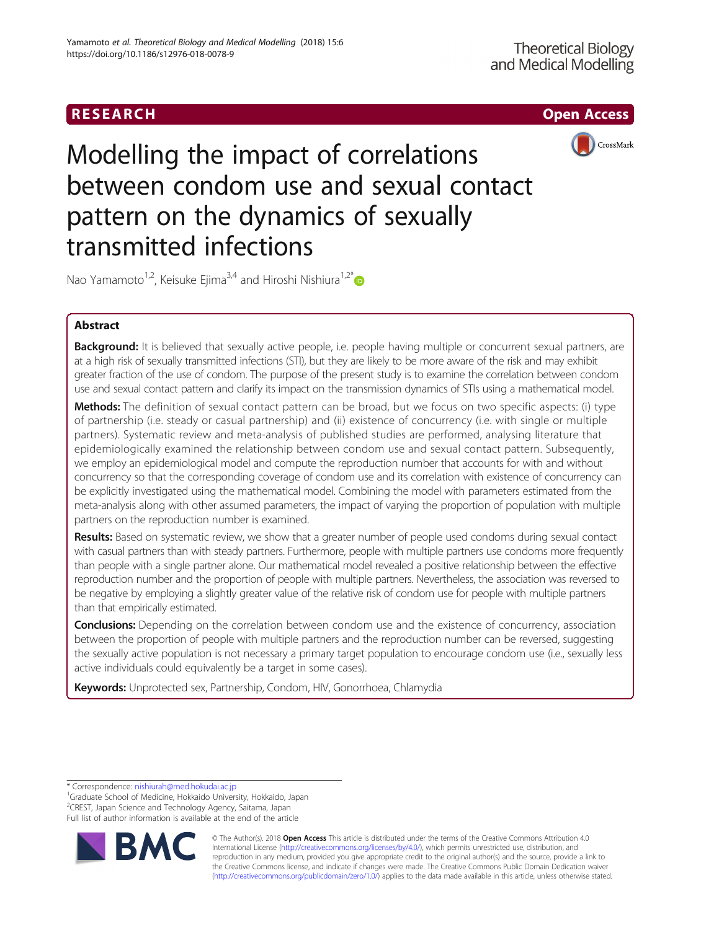

Modelling the impact of correlations between condom use and sexual contact pattern on the dynamics of sexually transmitted infections

Nao Yamamoto<sup>1,2</sup>, Keisuke Ejima<sup>3,4</sup> and Hiroshi Nishiura<sup>1,2\*</sup>

# Abstract

Background: It is believed that sexually active people, i.e. people having multiple or concurrent sexual partners, are at a high risk of sexually transmitted infections (STI), but they are likely to be more aware of the risk and may exhibit greater fraction of the use of condom. The purpose of the present study is to examine the correlation between condom use and sexual contact pattern and clarify its impact on the transmission dynamics of STIs using a mathematical model.

Methods: The definition of sexual contact pattern can be broad, but we focus on two specific aspects: (i) type of partnership (i.e. steady or casual partnership) and (ii) existence of concurrency (i.e. with single or multiple partners). Systematic review and meta-analysis of published studies are performed, analysing literature that epidemiologically examined the relationship between condom use and sexual contact pattern. Subsequently, we employ an epidemiological model and compute the reproduction number that accounts for with and without concurrency so that the corresponding coverage of condom use and its correlation with existence of concurrency can be explicitly investigated using the mathematical model. Combining the model with parameters estimated from the meta-analysis along with other assumed parameters, the impact of varying the proportion of population with multiple partners on the reproduction number is examined.

Results: Based on systematic review, we show that a greater number of people used condoms during sexual contact with casual partners than with steady partners. Furthermore, people with multiple partners use condoms more frequently than people with a single partner alone. Our mathematical model revealed a positive relationship between the effective reproduction number and the proportion of people with multiple partners. Nevertheless, the association was reversed to be negative by employing a slightly greater value of the relative risk of condom use for people with multiple partners than that empirically estimated.

**Conclusions:** Depending on the correlation between condom use and the existence of concurrency, association between the proportion of people with multiple partners and the reproduction number can be reversed, suggesting the sexually active population is not necessary a primary target population to encourage condom use (i.e., sexually less active individuals could equivalently be a target in some cases).

Keywords: Unprotected sex, Partnership, Condom, HIV, Gonorrhoea, Chlamydia

\* Correspondence: [nishiurah@med.hokudai.ac.jp](mailto:nishiurah@med.hokudai.ac.jp) <sup>1</sup>

<sup>1</sup>Graduate School of Medicine, Hokkaido University, Hokkaido, Japan 2 CREST, Japan Science and Technology Agency, Saitama, Japan Full list of author information is available at the end of the article



© The Author(s). 2018 Open Access This article is distributed under the terms of the Creative Commons Attribution 4.0 International License [\(http://creativecommons.org/licenses/by/4.0/](http://creativecommons.org/licenses/by/4.0/)), which permits unrestricted use, distribution, and reproduction in any medium, provided you give appropriate credit to the original author(s) and the source, provide a link to the Creative Commons license, and indicate if changes were made. The Creative Commons Public Domain Dedication waiver [\(http://creativecommons.org/publicdomain/zero/1.0/](http://creativecommons.org/publicdomain/zero/1.0/)) applies to the data made available in this article, unless otherwise stated.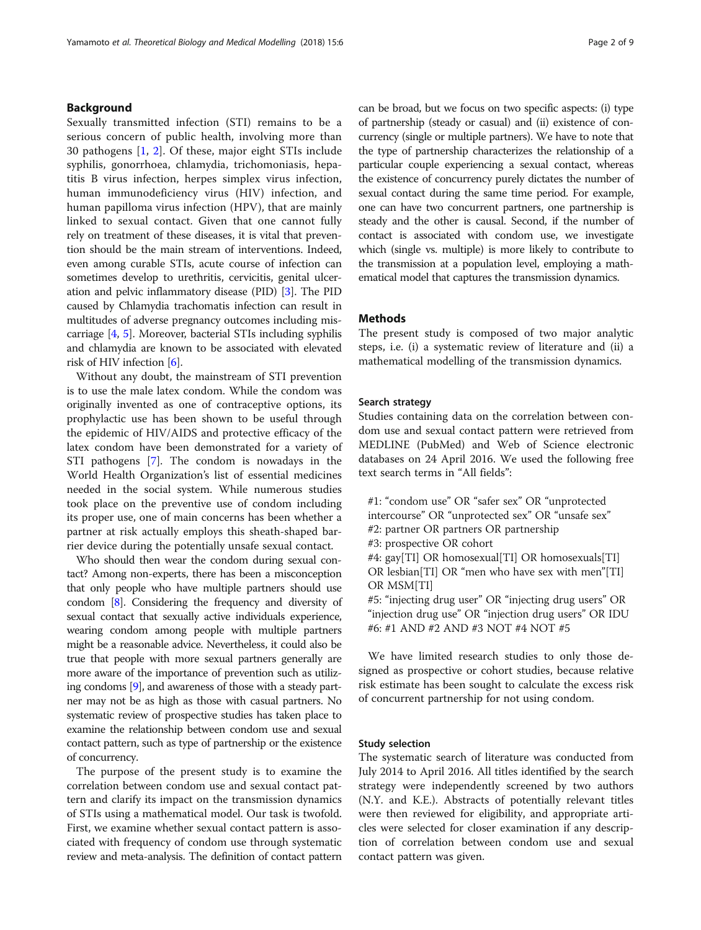# Background

Sexually transmitted infection (STI) remains to be a serious concern of public health, involving more than 30 pathogens [\[1](#page-8-0), [2](#page-8-0)]. Of these, major eight STIs include syphilis, gonorrhoea, chlamydia, trichomoniasis, hepatitis B virus infection, herpes simplex virus infection, human immunodeficiency virus (HIV) infection, and human papilloma virus infection (HPV), that are mainly linked to sexual contact. Given that one cannot fully rely on treatment of these diseases, it is vital that prevention should be the main stream of interventions. Indeed, even among curable STIs, acute course of infection can sometimes develop to urethritis, cervicitis, genital ulceration and pelvic inflammatory disease (PID) [\[3\]](#page-8-0). The PID caused by Chlamydia trachomatis infection can result in multitudes of adverse pregnancy outcomes including miscarriage [[4](#page-8-0), [5](#page-8-0)]. Moreover, bacterial STIs including syphilis and chlamydia are known to be associated with elevated risk of HIV infection [\[6](#page-8-0)].

Without any doubt, the mainstream of STI prevention is to use the male latex condom. While the condom was originally invented as one of contraceptive options, its prophylactic use has been shown to be useful through the epidemic of HIV/AIDS and protective efficacy of the latex condom have been demonstrated for a variety of STI pathogens [\[7\]](#page-8-0). The condom is nowadays in the World Health Organization's list of essential medicines needed in the social system. While numerous studies took place on the preventive use of condom including its proper use, one of main concerns has been whether a partner at risk actually employs this sheath-shaped barrier device during the potentially unsafe sexual contact.

Who should then wear the condom during sexual contact? Among non-experts, there has been a misconception that only people who have multiple partners should use condom [\[8\]](#page-8-0). Considering the frequency and diversity of sexual contact that sexually active individuals experience, wearing condom among people with multiple partners might be a reasonable advice. Nevertheless, it could also be true that people with more sexual partners generally are more aware of the importance of prevention such as utilizing condoms [\[9\]](#page-8-0), and awareness of those with a steady partner may not be as high as those with casual partners. No systematic review of prospective studies has taken place to examine the relationship between condom use and sexual contact pattern, such as type of partnership or the existence of concurrency.

The purpose of the present study is to examine the correlation between condom use and sexual contact pattern and clarify its impact on the transmission dynamics of STIs using a mathematical model. Our task is twofold. First, we examine whether sexual contact pattern is associated with frequency of condom use through systematic review and meta-analysis. The definition of contact pattern can be broad, but we focus on two specific aspects: (i) type of partnership (steady or casual) and (ii) existence of concurrency (single or multiple partners). We have to note that the type of partnership characterizes the relationship of a particular couple experiencing a sexual contact, whereas the existence of concurrency purely dictates the number of sexual contact during the same time period. For example, one can have two concurrent partners, one partnership is steady and the other is causal. Second, if the number of contact is associated with condom use, we investigate which (single vs. multiple) is more likely to contribute to the transmission at a population level, employing a mathematical model that captures the transmission dynamics.

### **Methods**

The present study is composed of two major analytic steps, i.e. (i) a systematic review of literature and (ii) a mathematical modelling of the transmission dynamics.

# Search strategy

Studies containing data on the correlation between condom use and sexual contact pattern were retrieved from MEDLINE (PubMed) and Web of Science electronic databases on 24 April 2016. We used the following free text search terms in "All fields":

#1: "condom use" OR "safer sex" OR "unprotected intercourse" OR "unprotected sex" OR "unsafe sex" #2: partner OR partners OR partnership #3: prospective OR cohort #4: gay[TI] OR homosexual[TI] OR homosexuals[TI] OR lesbian[TI] OR "men who have sex with men"[TI] OR MSM[TI] #5: "injecting drug user" OR "injecting drug users" OR "injection drug use" OR "injection drug users" OR IDU #6: #1 AND #2 AND #3 NOT #4 NOT #5

We have limited research studies to only those designed as prospective or cohort studies, because relative risk estimate has been sought to calculate the excess risk of concurrent partnership for not using condom.

## Study selection

The systematic search of literature was conducted from July 2014 to April 2016. All titles identified by the search strategy were independently screened by two authors (N.Y. and K.E.). Abstracts of potentially relevant titles were then reviewed for eligibility, and appropriate articles were selected for closer examination if any description of correlation between condom use and sexual contact pattern was given.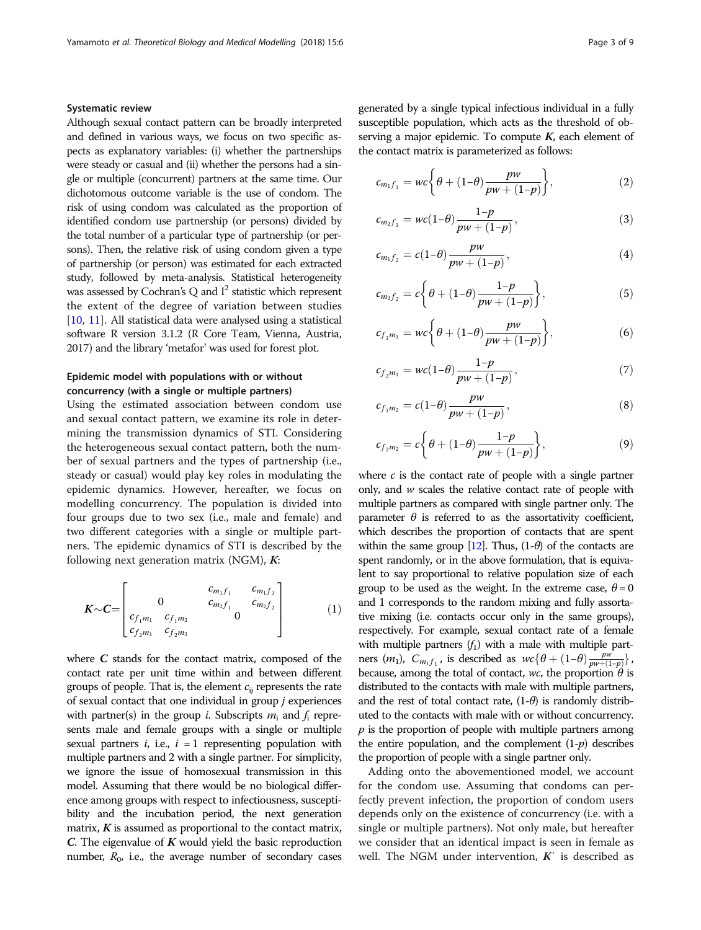# Systematic review

Although sexual contact pattern can be broadly interpreted and defined in various ways, we focus on two specific aspects as explanatory variables: (i) whether the partnerships were steady or casual and (ii) whether the persons had a single or multiple (concurrent) partners at the same time. Our dichotomous outcome variable is the use of condom. The risk of using condom was calculated as the proportion of identified condom use partnership (or persons) divided by the total number of a particular type of partnership (or persons). Then, the relative risk of using condom given a type of partnership (or person) was estimated for each extracted study, followed by meta-analysis. Statistical heterogeneity was assessed by Cochran's Q and  $I^2$  statistic which represent the extent of the degree of variation between studies [[10,](#page-8-0) [11](#page-8-0)]. All statistical data were analysed using a statistical software R version 3.1.2 (R Core Team, Vienna, Austria, 2017) and the library 'metafor' was used for forest plot.

# Epidemic model with populations with or without concurrency (with a single or multiple partners)

Using the estimated association between condom use and sexual contact pattern, we examine its role in determining the transmission dynamics of STI. Considering the heterogeneous sexual contact pattern, both the number of sexual partners and the types of partnership (i.e., steady or casual) would play key roles in modulating the epidemic dynamics. However, hereafter, we focus on modelling concurrency. The population is divided into four groups due to two sex (i.e., male and female) and two different categories with a single or multiple partners. The epidemic dynamics of STI is described by the following next generation matrix  $(NGM)$ , K:

$$
\boldsymbol{K} \sim \boldsymbol{C} = \begin{bmatrix} c_{m_1 f_1} & c_{m_1 f_2} \\ 0 & c_{m_2 f_1} & c_{m_2 f_2} \\ c_{f_1 m_1} & c_{f_1 m_2} & 0 \\ c_{f_2 m_1} & c_{f_2 m_2} & c_{f_2 m_2} \end{bmatrix}
$$
 (1)

where  $C$  stands for the contact matrix, composed of the contact rate per unit time within and between different groups of people. That is, the element  $c_{ii}$  represents the rate of sexual contact that one individual in group j experiences with partner(s) in the group *i*. Subscripts  $m_i$  and  $f_i$  represents male and female groups with a single or multiple sexual partners *i*, i.e.,  $i = 1$  representing population with multiple partners and 2 with a single partner. For simplicity, we ignore the issue of homosexual transmission in this model. Assuming that there would be no biological difference among groups with respect to infectiousness, susceptibility and the incubation period, the next generation matrix,  $K$  is assumed as proportional to the contact matrix, C. The eigenvalue of  $K$  would yield the basic reproduction number,  $R_0$ , i.e., the average number of secondary cases generated by a single typical infectious individual in a fully susceptible population, which acts as the threshold of observing a major epidemic. To compute  $K$ , each element of the contact matrix is parameterized as follows:

$$
c_{m_1f_1} = wc \bigg\{ \theta + (1-\theta) \frac{pw}{pw + (1-p)} \bigg\},\tag{2}
$$

$$
c_{m_2f_1} = wc(1-\theta) \frac{1-p}{pw + (1-p)},
$$
\n(3)

$$
c_{m_1f_2} = c(1-\theta) \frac{pw}{pw + (1-p)},
$$
\n(4)

$$
c_{m_2 f_2} = c \bigg\{ \theta + (1-\theta) \frac{1-p}{pw + (1-p)} \bigg\},\tag{5}
$$

$$
c_{f_1m_1} = wc \bigg\{ \theta + (1-\theta) \frac{pw}{pw + (1-p)} \bigg\},
$$
 (6)

$$
c_{f_2m_1} = wc(1-\theta) \frac{1-p}{pw + (1-p)},
$$
\n(7)

$$
c_{f_1 m_2} = c(1-\theta) \frac{pw}{pw + (1-p)},
$$
\n(8)

$$
c_{f_2m_2} = c \bigg\{ \theta + (1-\theta) \frac{1-p}{pw + (1-p)} \bigg\},\tag{9}
$$

where  $c$  is the contact rate of people with a single partner only, and w scales the relative contact rate of people with multiple partners as compared with single partner only. The parameter  $\theta$  is referred to as the assortativity coefficient, which describes the proportion of contacts that are spent within the same group [\[12](#page-8-0)]. Thus,  $(1-\theta)$  of the contacts are spent randomly, or in the above formulation, that is equivalent to say proportional to relative population size of each group to be used as the weight. In the extreme case,  $\theta = 0$ and 1 corresponds to the random mixing and fully assortative mixing (i.e. contacts occur only in the same groups), respectively. For example, sexual contact rate of a female with multiple partners  $(f_1)$  with a male with multiple partners  $(m_1)$ ,  $C_{m_1 f_1}$ , is described as  $wc{\lbrace \theta + (1-\theta) \frac{pw}{pw + (1-p) }\rbrace}$ , because, among the total of contact, wc, the proportion  $\theta$  is distributed to the contacts with male with multiple partners, and the rest of total contact rate,  $(1-\theta)$  is randomly distributed to the contacts with male with or without concurrency.  $p$  is the proportion of people with multiple partners among the entire population, and the complement  $(1-p)$  describes the proportion of people with a single partner only.

Adding onto the abovementioned model, we account for the condom use. Assuming that condoms can perfectly prevent infection, the proportion of condom users depends only on the existence of concurrency (i.e. with a single or multiple partners). Not only male, but hereafter we consider that an identical impact is seen in female as well. The NGM under intervention,  $K'$  is described as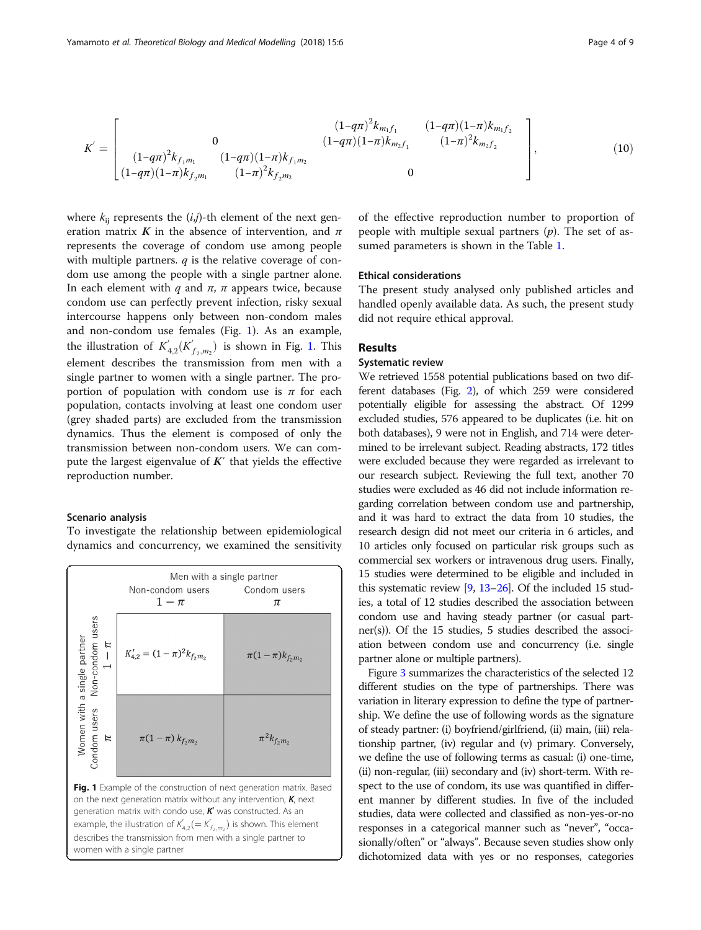$$
K' = \begin{bmatrix} (1-q\pi)^2 k_{m_1 f_1} & (1-q\pi)(1-\pi) k_{m_1 f_2} \\ 0 & (1-q\pi)(1-\pi) k_{m_2 f_1} & (1-\pi)^2 k_{m_2 f_2} \\ (1-q\pi)(1-\pi) k_{f_2 m_1} & (1-\pi)^2 k_{f_2 m_2} & 0 \end{bmatrix},
$$
(10)

where  $k_{ij}$  represents the  $(i,j)$ -th element of the next generation matrix K in the absence of intervention, and  $\pi$ represents the coverage of condom use among people with multiple partners.  $q$  is the relative coverage of condom use among the people with a single partner alone. In each element with q and  $\pi$ ,  $\pi$  appears twice, because condom use can perfectly prevent infection, risky sexual intercourse happens only between non-condom males and non-condom use females (Fig. 1). As an example, the illustration of  $K_{4,2}(K_{f_2,m_2})$  is shown in Fig. 1. This element describes the transmission from men with a single partner to women with a single partner. The proportion of population with condom use is  $\pi$  for each population, contacts involving at least one condom user (grey shaded parts) are excluded from the transmission dynamics. Thus the element is composed of only the transmission between non-condom users. We can compute the largest eigenvalue of  $K'$  that yields the effective reproduction number.

### Scenario analysis

To investigate the relationship between epidemiological dynamics and concurrency, we examined the sensitivity



of the effective reproduction number to proportion of people with multiple sexual partners  $(p)$ . The set of assumed parameters is shown in the Table [1.](#page-4-0)

### Ethical considerations

The present study analysed only published articles and handled openly available data. As such, the present study did not require ethical approval.

### Results

### Systematic review

We retrieved 1558 potential publications based on two different databases (Fig. [2](#page-4-0)), of which 259 were considered potentially eligible for assessing the abstract. Of 1299 excluded studies, 576 appeared to be duplicates (i.e. hit on both databases), 9 were not in English, and 714 were determined to be irrelevant subject. Reading abstracts, 172 titles were excluded because they were regarded as irrelevant to our research subject. Reviewing the full text, another 70 studies were excluded as 46 did not include information regarding correlation between condom use and partnership, and it was hard to extract the data from 10 studies, the research design did not meet our criteria in 6 articles, and 10 articles only focused on particular risk groups such as commercial sex workers or intravenous drug users. Finally, 15 studies were determined to be eligible and included in this systematic review [\[9,](#page-8-0) [13](#page-8-0)–[26\]](#page-8-0). Of the included 15 studies, a total of 12 studies described the association between condom use and having steady partner (or casual partner(s)). Of the 15 studies, 5 studies described the association between condom use and concurrency (i.e. single partner alone or multiple partners).

Figure [3](#page-5-0) summarizes the characteristics of the selected 12 different studies on the type of partnerships. There was variation in literary expression to define the type of partnership. We define the use of following words as the signature of steady partner: (i) boyfriend/girlfriend, (ii) main, (iii) relationship partner, (iv) regular and (v) primary. Conversely, we define the use of following terms as casual: (i) one-time, (ii) non-regular, (iii) secondary and (iv) short-term. With respect to the use of condom, its use was quantified in different manner by different studies. In five of the included studies, data were collected and classified as non-yes-or-no responses in a categorical manner such as "never", "occasionally/often" or "always". Because seven studies show only dichotomized data with yes or no responses, categories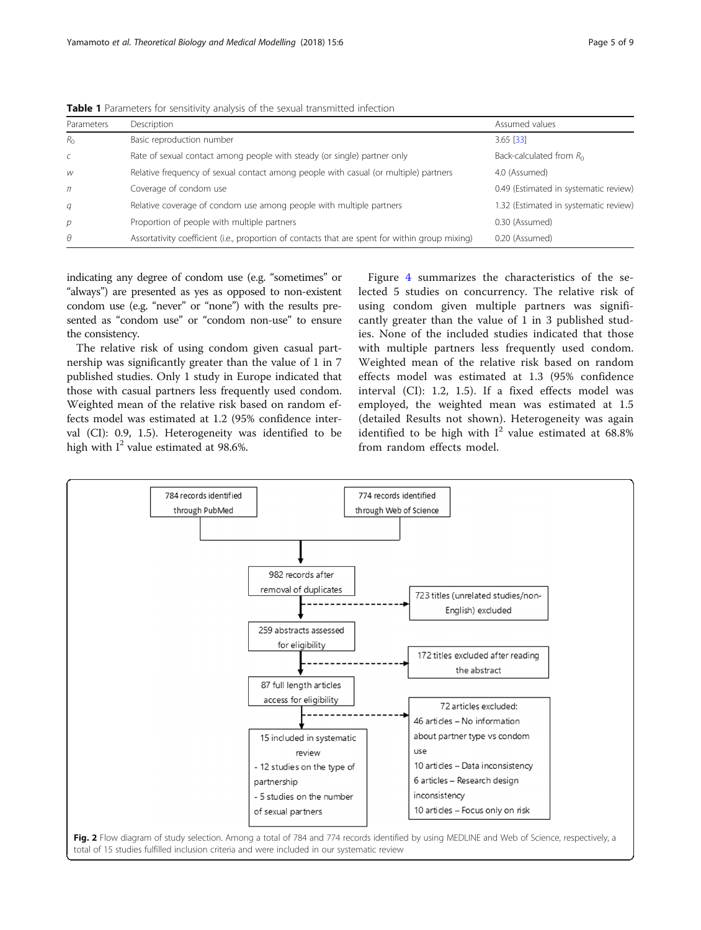| Parameters     | Description                                                                                     | Assumed values<br>3.65 [33]           |  |
|----------------|-------------------------------------------------------------------------------------------------|---------------------------------------|--|
| $R_{\Omega}$   | Basic reproduction number                                                                       |                                       |  |
| $\epsilon$     | Rate of sexual contact among people with steady (or single) partner only                        | Back-calculated from $R_0$            |  |
| W              | Relative frequency of sexual contact among people with casual (or multiple) partners            | 4.0 (Assumed)                         |  |
| $\pi$          | Coverage of condom use                                                                          | 0.49 (Estimated in systematic review) |  |
| q              | Relative coverage of condom use among people with multiple partners                             | 1.32 (Estimated in systematic review) |  |
| $\overline{p}$ | Proportion of people with multiple partners                                                     | 0.30 (Assumed)                        |  |
| $\theta$       | Assortativity coefficient (i.e., proportion of contacts that are spent for within group mixing) | 0.20 (Assumed)                        |  |

<span id="page-4-0"></span>**Table 1** Parameters for sensitivity analysis of the sexual transmitted infection

indicating any degree of condom use (e.g. "sometimes" or "always") are presented as yes as opposed to non-existent condom use (e.g. "never" or "none") with the results presented as "condom use" or "condom non-use" to ensure the consistency.

The relative risk of using condom given casual partnership was significantly greater than the value of 1 in 7 published studies. Only 1 study in Europe indicated that those with casual partners less frequently used condom. Weighted mean of the relative risk based on random effects model was estimated at 1.2 (95% confidence interval (CI): 0.9, 1.5). Heterogeneity was identified to be high with  $I^2$  value estimated at 98.6%.

Figure [4](#page-5-0) summarizes the characteristics of the selected 5 studies on concurrency. The relative risk of using condom given multiple partners was significantly greater than the value of 1 in 3 published studies. None of the included studies indicated that those with multiple partners less frequently used condom. Weighted mean of the relative risk based on random effects model was estimated at 1.3 (95% confidence interval (CI): 1.2, 1.5). If a fixed effects model was employed, the weighted mean was estimated at 1.5 (detailed Results not shown). Heterogeneity was again identified to be high with  $I^2$  value estimated at 68.8% from random effects model.

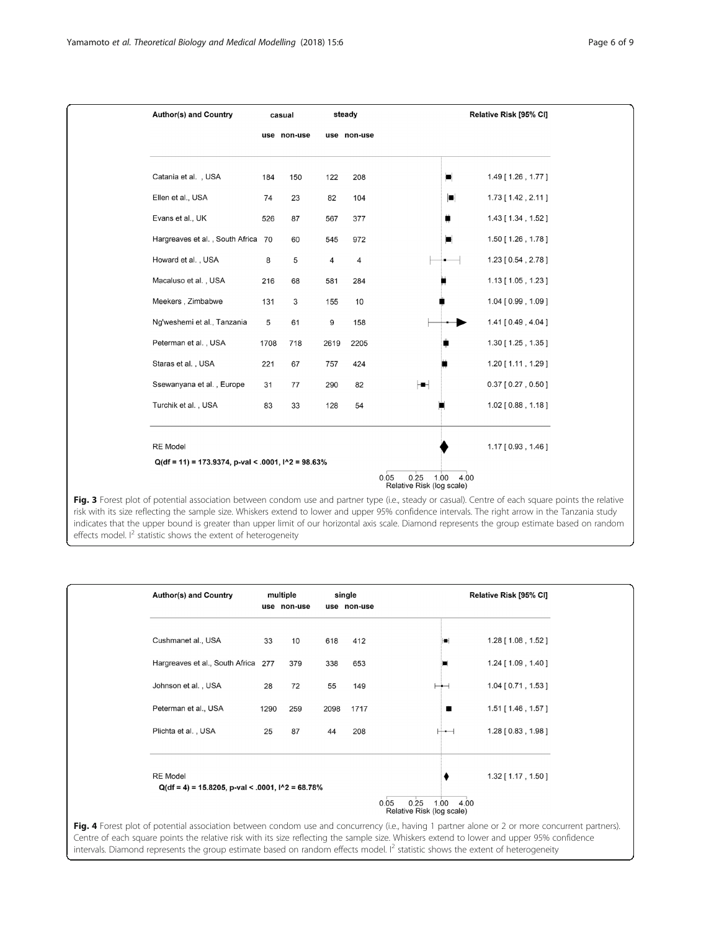<span id="page-5-0"></span>

risk with its size reflecting the sample size. Whiskers extend to lower and upper 95% confidence intervals. The right arrow in the Tanzania study indicates that the upper bound is greater than upper limit of our horizontal axis scale. Diamond represents the group estimate based on random effects model.  $I^2$  statistic shows the extent of heterogeneity

| <b>Author(s) and Country</b> |                                                           | multiple<br>use non-use |      | single<br>use non-use | Relative Risk [95% CI] |                            |  |
|------------------------------|-----------------------------------------------------------|-------------------------|------|-----------------------|------------------------|----------------------------|--|
|                              |                                                           |                         |      |                       |                        |                            |  |
| Cushmanet al., USA           | 33                                                        | 10                      | 618  | 412                   | H                      | $1.28$ [ $1.08$ , $1.52$ ] |  |
|                              | Hargreaves et al., South Africa 277                       | 379                     | 338  | 653                   |                        | $1.24$ [ $1.09$ , $1.40$ ] |  |
| Johnson et al., USA          | 28                                                        | 72                      | 55   | 149                   |                        | 1.04 [0.71, 1.53]          |  |
| Peterman et al., USA         | 1290                                                      | 259                     | 2098 | 1717                  | ٠                      | $1.51$ [ $1.46$ , $1.57$ ] |  |
| Plichta et al., USA          | 25                                                        | 87                      | 44   | 208                   | ∺⊷⊣                    | $1.28$ [ $0.83$ , $1.98$ ] |  |
|                              |                                                           |                         |      |                       |                        |                            |  |
| <b>RE</b> Model              | $Q(df = 4) = 15.8205$ , p-val < .0001, $1^2 = 68.78\%$    |                         |      |                       |                        | $1.32$ [ $1.17$ , $1.50$ ] |  |
|                              | 0.25<br>1.00<br>0.05<br>4.00<br>Relative Risk (log scale) |                         |      |                       |                        |                            |  |

**Fig. 4** Forest plot of potential association between condom use and concurrency (i.e., having 1 partner alone or 2 or more concurrent partners). Centre of each square points the relative risk with its size reflecting the sample size. Whiskers extend to lower and upper 95% confidence intervals. Diamond represents the group estimate based on random effects model.  $I^2$  statistic shows the extent of heterogeneity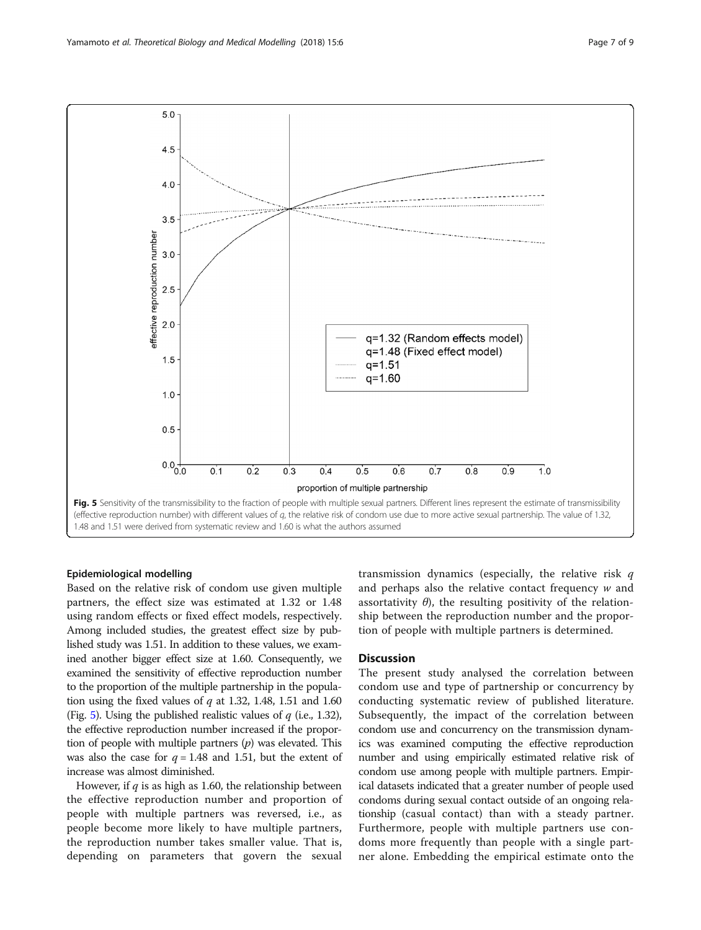

### Epidemiological modelling

Based on the relative risk of condom use given multiple partners, the effect size was estimated at 1.32 or 1.48 using random effects or fixed effect models, respectively. Among included studies, the greatest effect size by published study was 1.51. In addition to these values, we examined another bigger effect size at 1.60. Consequently, we examined the sensitivity of effective reproduction number to the proportion of the multiple partnership in the population using the fixed values of  $q$  at 1.32, 1.48, 1.51 and 1.60 (Fig. 5). Using the published realistic values of  $q$  (i.e., 1.32), the effective reproduction number increased if the proportion of people with multiple partners  $(p)$  was elevated. This was also the case for  $q = 1.48$  and 1.51, but the extent of increase was almost diminished.

However, if  $q$  is as high as 1.60, the relationship between the effective reproduction number and proportion of people with multiple partners was reversed, i.e., as people become more likely to have multiple partners, the reproduction number takes smaller value. That is, depending on parameters that govern the sexual transmission dynamics (especially, the relative risk  $q$ and perhaps also the relative contact frequency w and assortativity  $\theta$ ), the resulting positivity of the relationship between the reproduction number and the proportion of people with multiple partners is determined.

### **Discussion**

The present study analysed the correlation between condom use and type of partnership or concurrency by conducting systematic review of published literature. Subsequently, the impact of the correlation between condom use and concurrency on the transmission dynamics was examined computing the effective reproduction number and using empirically estimated relative risk of condom use among people with multiple partners. Empirical datasets indicated that a greater number of people used condoms during sexual contact outside of an ongoing relationship (casual contact) than with a steady partner. Furthermore, people with multiple partners use condoms more frequently than people with a single partner alone. Embedding the empirical estimate onto the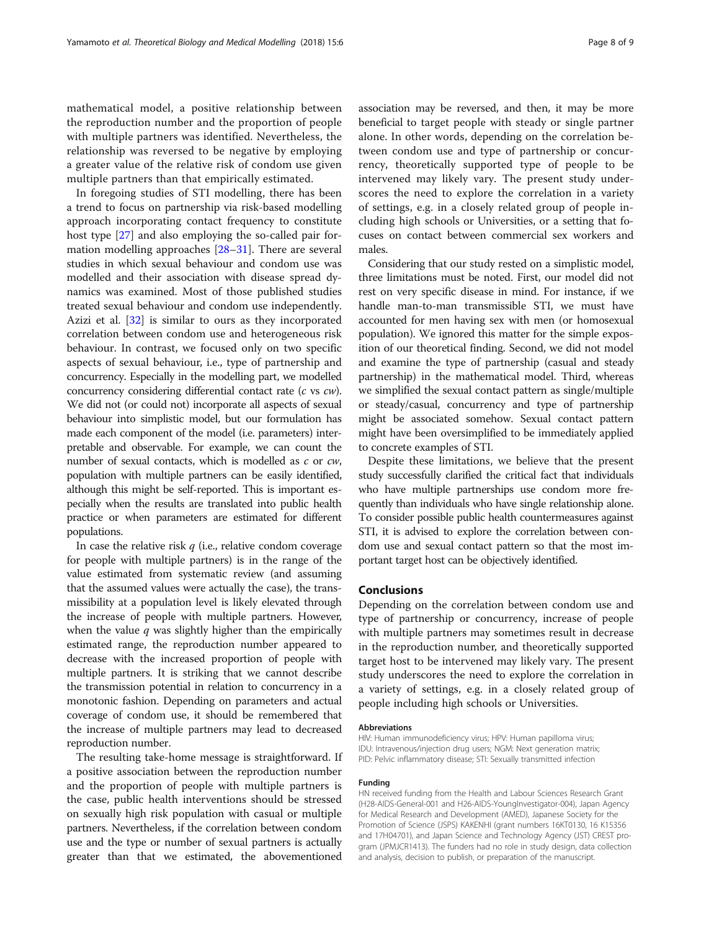mathematical model, a positive relationship between the reproduction number and the proportion of people with multiple partners was identified. Nevertheless, the relationship was reversed to be negative by employing a greater value of the relative risk of condom use given multiple partners than that empirically estimated.

In foregoing studies of STI modelling, there has been a trend to focus on partnership via risk-based modelling approach incorporating contact frequency to constitute host type [\[27\]](#page-8-0) and also employing the so-called pair formation modelling approaches [\[28](#page-8-0)–[31\]](#page-8-0). There are several studies in which sexual behaviour and condom use was modelled and their association with disease spread dynamics was examined. Most of those published studies treated sexual behaviour and condom use independently. Azizi et al. [[32\]](#page-8-0) is similar to ours as they incorporated correlation between condom use and heterogeneous risk behaviour. In contrast, we focused only on two specific aspects of sexual behaviour, i.e., type of partnership and concurrency. Especially in the modelling part, we modelled concurrency considering differential contact rate (c vs cw). We did not (or could not) incorporate all aspects of sexual behaviour into simplistic model, but our formulation has made each component of the model (i.e. parameters) interpretable and observable. For example, we can count the number of sexual contacts, which is modelled as c or cw, population with multiple partners can be easily identified, although this might be self-reported. This is important especially when the results are translated into public health practice or when parameters are estimated for different populations.

In case the relative risk  $q$  (i.e., relative condom coverage for people with multiple partners) is in the range of the value estimated from systematic review (and assuming that the assumed values were actually the case), the transmissibility at a population level is likely elevated through the increase of people with multiple partners. However, when the value  $q$  was slightly higher than the empirically estimated range, the reproduction number appeared to decrease with the increased proportion of people with multiple partners. It is striking that we cannot describe the transmission potential in relation to concurrency in a monotonic fashion. Depending on parameters and actual coverage of condom use, it should be remembered that the increase of multiple partners may lead to decreased reproduction number.

The resulting take-home message is straightforward. If a positive association between the reproduction number and the proportion of people with multiple partners is the case, public health interventions should be stressed on sexually high risk population with casual or multiple partners. Nevertheless, if the correlation between condom use and the type or number of sexual partners is actually greater than that we estimated, the abovementioned

association may be reversed, and then, it may be more beneficial to target people with steady or single partner alone. In other words, depending on the correlation between condom use and type of partnership or concurrency, theoretically supported type of people to be intervened may likely vary. The present study underscores the need to explore the correlation in a variety of settings, e.g. in a closely related group of people including high schools or Universities, or a setting that focuses on contact between commercial sex workers and males.

Considering that our study rested on a simplistic model, three limitations must be noted. First, our model did not rest on very specific disease in mind. For instance, if we handle man-to-man transmissible STI, we must have accounted for men having sex with men (or homosexual population). We ignored this matter for the simple exposition of our theoretical finding. Second, we did not model and examine the type of partnership (casual and steady partnership) in the mathematical model. Third, whereas we simplified the sexual contact pattern as single/multiple or steady/casual, concurrency and type of partnership might be associated somehow. Sexual contact pattern might have been oversimplified to be immediately applied to concrete examples of STI.

Despite these limitations, we believe that the present study successfully clarified the critical fact that individuals who have multiple partnerships use condom more frequently than individuals who have single relationship alone. To consider possible public health countermeasures against STI, it is advised to explore the correlation between condom use and sexual contact pattern so that the most important target host can be objectively identified.

### Conclusions

Depending on the correlation between condom use and type of partnership or concurrency, increase of people with multiple partners may sometimes result in decrease in the reproduction number, and theoretically supported target host to be intervened may likely vary. The present study underscores the need to explore the correlation in a variety of settings, e.g. in a closely related group of people including high schools or Universities.

#### Abbreviations

HIV: Human immunodeficiency virus; HPV: Human papilloma virus; IDU: Intravenous/injection drug users; NGM: Next generation matrix; PID: Pelvic inflammatory disease; STI: Sexually transmitted infection

#### Funding

HN received funding from the Health and Labour Sciences Research Grant (H28-AIDS-General-001 and H26-AIDS-YoungInvestigator-004), Japan Agency for Medical Research and Development (AMED), Japanese Society for the Promotion of Science (JSPS) KAKENHI (grant numbers 16KT0130, 16 K15356 and 17H04701), and Japan Science and Technology Agency (JST) CREST program (JPMJCR1413). The funders had no role in study design, data collection and analysis, decision to publish, or preparation of the manuscript.